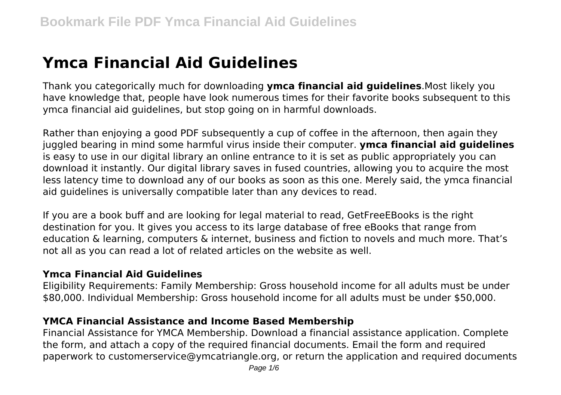# **Ymca Financial Aid Guidelines**

Thank you categorically much for downloading **ymca financial aid guidelines**.Most likely you have knowledge that, people have look numerous times for their favorite books subsequent to this ymca financial aid guidelines, but stop going on in harmful downloads.

Rather than enjoying a good PDF subsequently a cup of coffee in the afternoon, then again they juggled bearing in mind some harmful virus inside their computer. **ymca financial aid guidelines** is easy to use in our digital library an online entrance to it is set as public appropriately you can download it instantly. Our digital library saves in fused countries, allowing you to acquire the most less latency time to download any of our books as soon as this one. Merely said, the ymca financial aid guidelines is universally compatible later than any devices to read.

If you are a book buff and are looking for legal material to read, GetFreeEBooks is the right destination for you. It gives you access to its large database of free eBooks that range from education & learning, computers & internet, business and fiction to novels and much more. That's not all as you can read a lot of related articles on the website as well.

# **Ymca Financial Aid Guidelines**

Eligibility Requirements: Family Membership: Gross household income for all adults must be under \$80,000. Individual Membership: Gross household income for all adults must be under \$50,000.

# **YMCA Financial Assistance and Income Based Membership**

Financial Assistance for YMCA Membership. Download a financial assistance application. Complete the form, and attach a copy of the required financial documents. Email the form and required paperwork to customerservice@ymcatriangle.org, or return the application and required documents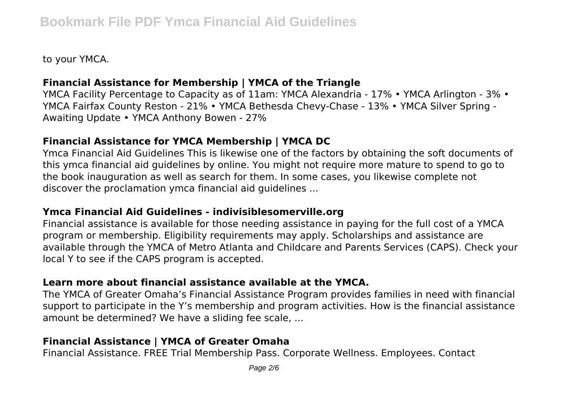to your YMCA.

# **Financial Assistance for Membership | YMCA of the Triangle**

YMCA Facility Percentage to Capacity as of 11am: YMCA Alexandria - 17% • YMCA Arlington - 3% • YMCA Fairfax County Reston - 21% • YMCA Bethesda Chevy-Chase - 13% • YMCA Silver Spring - Awaiting Update • YMCA Anthony Bowen - 27%

# **Financial Assistance for YMCA Membership | YMCA DC**

Ymca Financial Aid Guidelines This is likewise one of the factors by obtaining the soft documents of this ymca financial aid guidelines by online. You might not require more mature to spend to go to the book inauguration as well as search for them. In some cases, you likewise complete not discover the proclamation ymca financial aid guidelines ...

#### **Ymca Financial Aid Guidelines - indivisiblesomerville.org**

Financial assistance is available for those needing assistance in paying for the full cost of a YMCA program or membership. Eligibility requirements may apply. Scholarships and assistance are available through the YMCA of Metro Atlanta and Childcare and Parents Services (CAPS). Check your local Y to see if the CAPS program is accepted.

# **Learn more about financial assistance available at the YMCA.**

The YMCA of Greater Omaha's Financial Assistance Program provides families in need with financial support to participate in the Y's membership and program activities. How is the financial assistance amount be determined? We have a sliding fee scale, ...

# **Financial Assistance | YMCA of Greater Omaha**

Financial Assistance. FREE Trial Membership Pass. Corporate Wellness. Employees. Contact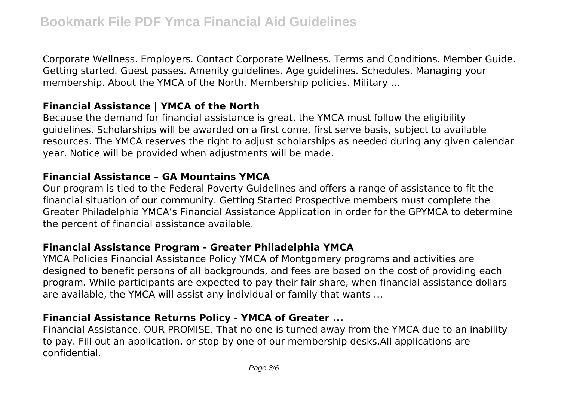Corporate Wellness. Employers. Contact Corporate Wellness. Terms and Conditions. Member Guide. Getting started. Guest passes. Amenity guidelines. Age guidelines. Schedules. Managing your membership. About the YMCA of the North. Membership policies. Military ...

#### **Financial Assistance | YMCA of the North**

Because the demand for financial assistance is great, the YMCA must follow the eligibility guidelines. Scholarships will be awarded on a first come, first serve basis, subject to available resources. The YMCA reserves the right to adjust scholarships as needed during any given calendar year. Notice will be provided when adjustments will be made.

#### **Financial Assistance – GA Mountains YMCA**

Our program is tied to the Federal Poverty Guidelines and offers a range of assistance to fit the financial situation of our community. Getting Started Prospective members must complete the Greater Philadelphia YMCA's Financial Assistance Application in order for the GPYMCA to determine the percent of financial assistance available.

#### **Financial Assistance Program - Greater Philadelphia YMCA**

YMCA Policies Financial Assistance Policy YMCA of Montgomery programs and activities are designed to benefit persons of all backgrounds, and fees are based on the cost of providing each program. While participants are expected to pay their fair share, when financial assistance dollars are available, the YMCA will assist any individual or family that wants …

# **Financial Assistance Returns Policy - YMCA of Greater ...**

Financial Assistance. OUR PROMISE. That no one is turned away from the YMCA due to an inability to pay. Fill out an application, or stop by one of our membership desks.All applications are confidential.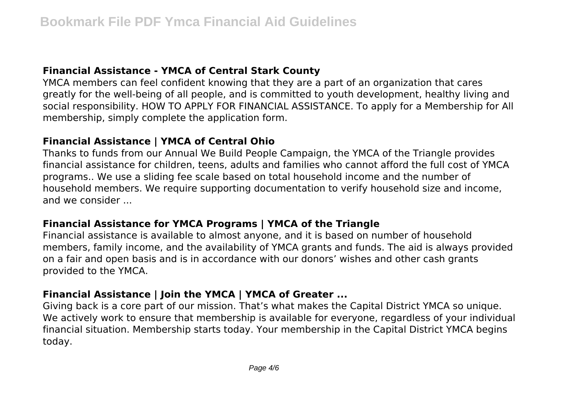#### **Financial Assistance - YMCA of Central Stark County**

YMCA members can feel confident knowing that they are a part of an organization that cares greatly for the well-being of all people, and is committed to youth development, healthy living and social responsibility. HOW TO APPLY FOR FINANCIAL ASSISTANCE. To apply for a Membership for All membership, simply complete the application form.

# **Financial Assistance | YMCA of Central Ohio**

Thanks to funds from our Annual We Build People Campaign, the YMCA of the Triangle provides financial assistance for children, teens, adults and families who cannot afford the full cost of YMCA programs.. We use a sliding fee scale based on total household income and the number of household members. We require supporting documentation to verify household size and income, and we consider ...

#### **Financial Assistance for YMCA Programs | YMCA of the Triangle**

Financial assistance is available to almost anyone, and it is based on number of household members, family income, and the availability of YMCA grants and funds. The aid is always provided on a fair and open basis and is in accordance with our donors' wishes and other cash grants provided to the YMCA.

# **Financial Assistance | Join the YMCA | YMCA of Greater ...**

Giving back is a core part of our mission. That's what makes the Capital District YMCA so unique. We actively work to ensure that membership is available for everyone, regardless of your individual financial situation. Membership starts today. Your membership in the Capital District YMCA begins today.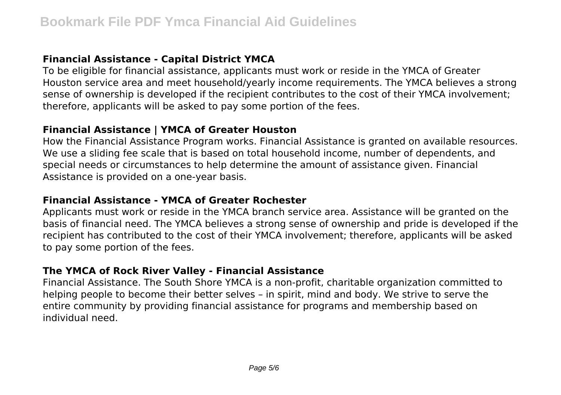# **Financial Assistance - Capital District YMCA**

To be eligible for financial assistance, applicants must work or reside in the YMCA of Greater Houston service area and meet household/yearly income requirements. The YMCA believes a strong sense of ownership is developed if the recipient contributes to the cost of their YMCA involvement; therefore, applicants will be asked to pay some portion of the fees.

#### **Financial Assistance | YMCA of Greater Houston**

How the Financial Assistance Program works. Financial Assistance is granted on available resources. We use a sliding fee scale that is based on total household income, number of dependents, and special needs or circumstances to help determine the amount of assistance given. Financial Assistance is provided on a one-year basis.

#### **Financial Assistance - YMCA of Greater Rochester**

Applicants must work or reside in the YMCA branch service area. Assistance will be granted on the basis of financial need. The YMCA believes a strong sense of ownership and pride is developed if the recipient has contributed to the cost of their YMCA involvement; therefore, applicants will be asked to pay some portion of the fees.

# **The YMCA of Rock River Valley - Financial Assistance**

Financial Assistance. The South Shore YMCA is a non-profit, charitable organization committed to helping people to become their better selves – in spirit, mind and body. We strive to serve the entire community by providing financial assistance for programs and membership based on individual need.